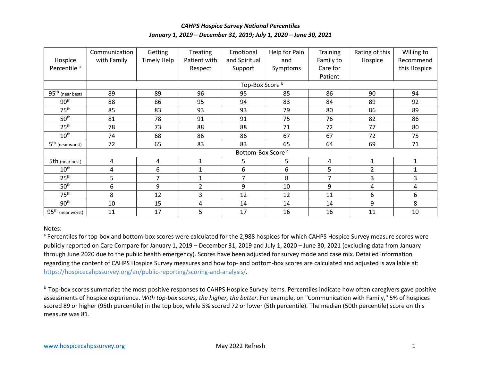## *CAHPS Hospice Survey National Percentiles January 1, 2019 – December 31, 2019; July 1, 2020 – June 30, 2021*

|                               | Communication                 | Getting            | <b>Treating</b> | Emotional      | Help for Pain | <b>Training</b> | Rating of this | Willing to   |
|-------------------------------|-------------------------------|--------------------|-----------------|----------------|---------------|-----------------|----------------|--------------|
| Hospice                       | with Family                   | <b>Timely Help</b> | Patient with    | and Spiritual  | and           | Family to       | Hospice        | Recommend    |
| Percentile <sup>a</sup>       |                               |                    | Respect         | Support        | Symptoms      | Care for        |                | this Hospice |
|                               |                               |                    |                 |                |               | Patient         |                |              |
|                               | Top-Box Score <sup>b</sup>    |                    |                 |                |               |                 |                |              |
| $95th$ (near best)            | 89                            | 89                 | 96              | 95             | 85            | 86              | 90             | 94           |
| 90 <sup>th</sup>              | 88                            | 86                 | 95              | 94             | 83            | 84              | 89             | 92           |
| 75 <sup>th</sup>              | 85                            | 83                 | 93              | 93             | 79            | 80              | 86             | 89           |
| 50 <sup>th</sup>              | 81                            | 78                 | 91              | 91             | 75            | 76              | 82             | 86           |
| 25 <sup>th</sup>              | 78                            | 73                 | 88              | 88             | 71            | 72              | 77             | 80           |
| $10^{\text{th}}$              | 74                            | 68                 | 86              | 86             | 67            | 67              | 72             | 75           |
| $5^{\text{th}}$ (near worst)  | 72                            | 65                 | 83              | 83             | 65            | 64              | 69             | 71           |
|                               | Bottom-Box Score <sup>c</sup> |                    |                 |                |               |                 |                |              |
| 5th (near best)               | 4                             | 4                  | $\mathbf{1}$    | 5              | 5             | 4               | $\mathbf{1}$   | 1            |
| $10^{\text{th}}$              | 4                             | 6                  | $\mathbf{1}$    | 6              | 6             | 5               | $\overline{2}$ | $\mathbf{1}$ |
| 25 <sup>th</sup>              | 5                             | $\overline{7}$     | 1               | $\overline{7}$ | 8             | 7               | 3              | 3            |
| 50 <sup>th</sup>              | 6                             | 9                  | $\overline{2}$  | 9              | 10            | 9               | 4              | 4            |
| 75 <sup>th</sup>              | 8                             | 12                 | 3               | 12             | 12            | 11              | 6              | 6            |
| 90 <sup>th</sup>              | 10                            | 15                 | 4               | 14             | 14            | 14              | 9              | 8            |
| 95 <sup>th</sup> (near worst) | 11                            | 17                 | 5               | 17             | 16            | 16              | 11             | 10           |

## Notes:

a Percentiles for top-box and bottom-box scores were calculated for the 2,988 hospices for which CAHPS Hospice Survey measure scores were publicly reported on Care Compare for January 1, 2019 – December 31, 2019 and July 1, 2020 – June 30, 2021 (excluding data from January through June 2020 due to the public health emergency). Scores have been adjusted for survey mode and case mix. Detailed information regarding the content of CAHPS Hospice Survey measures and how top- and bottom-box scores are calculated and adjusted is available at: [https://hospicecahpssurvey.org/en/public-reporting/scoring-and-analysis/.](https://hospicecahpssurvey.org/en/public-reporting/scoring-and-analysis/)

<sup>b</sup> Top-box scores summarize the most positive responses to CAHPS Hospice Survey items. Percentiles indicate how often caregivers gave positive assessments of hospice experience. *With top-box scores, the higher, the better.* For example, on "Communication with Family," 5% of hospices scored 89 or higher (95th percentile) in the top box, while 5% scored 72 or lower (5th percentile). The median (50th percentile) score on this measure was 81.